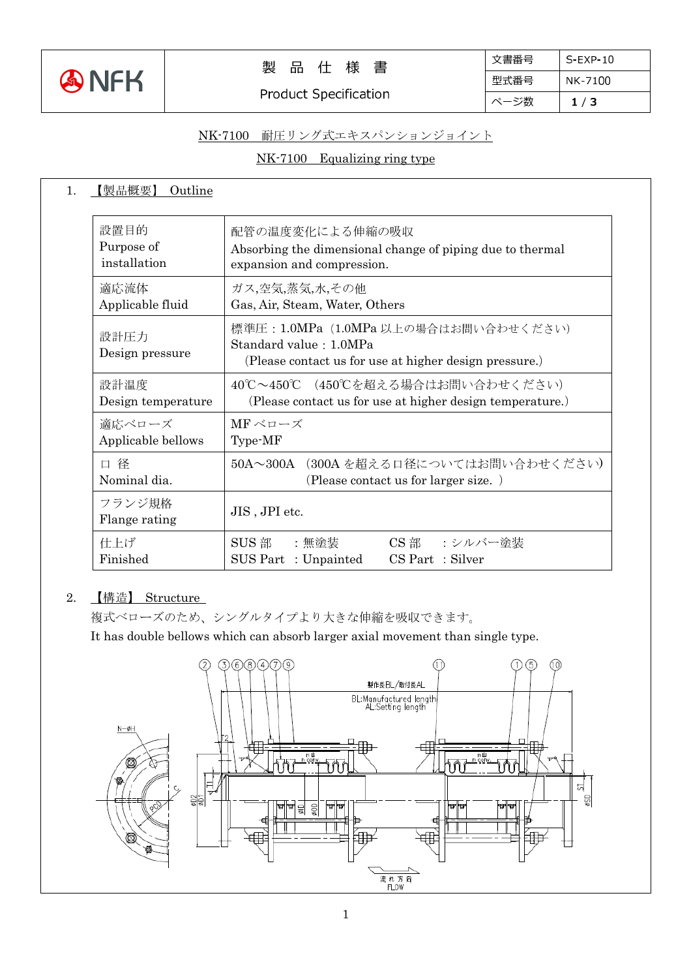

# 製 品 仕 様 書

Product Specification

| 文書番号 | $S-FXP-10$ |
|------|------------|
| 型式番号 | NK-7100    |
| ページ数 | 1/3        |

### NK-7100 耐圧リング式エキスパンションジョイント

## NK-7100 Equalizing ring type

| 【製品概要】<br>Outline       |                                                                                                                           |  |  |
|-------------------------|---------------------------------------------------------------------------------------------------------------------------|--|--|
| 設置目的                    | 配管の温度変化による伸縮の吸収                                                                                                           |  |  |
| Purpose of              | Absorbing the dimensional change of piping due to thermal                                                                 |  |  |
| installation            | expansion and compression.                                                                                                |  |  |
| 適応流体                    | ガス,空気,蒸気,水,その他                                                                                                            |  |  |
| Applicable fluid        | Gas, Air, Steam, Water, Others                                                                                            |  |  |
| 設計圧力<br>Design pressure | 標準圧: 1.0MPa (1.0MPa 以上の場合はお問い合わせください)<br>Standard value: 1.0MPa<br>(Please contact us for use at higher design pressure.) |  |  |
| 設計温度                    | 40℃~450℃ (450℃を超える場合はお問い合わせください)                                                                                          |  |  |
| Design temperature      | (Please contact us for use at higher design temperature.)                                                                 |  |  |
| 適応ベローズ                  | MFベローズ                                                                                                                    |  |  |
| Applicable bellows      | Type-MF                                                                                                                   |  |  |
| 口径                      | 50A~300A (300A を超える口径についてはお問い合わせください)                                                                                     |  |  |
| Nominal dia.            | (Please contact us for larger size.)                                                                                      |  |  |
| フランジ規格<br>Flange rating | JIS, JPI etc.                                                                                                             |  |  |
| 仕上げ<br>Finished         | SUS 部<br>$\mathbf{CS} \; \mathbf{f}$ 部<br>:無塗装<br>:シルバー塗装<br>SUS Part : Unpainted<br>CS Part : Silver                     |  |  |

#### 2. 【構造】 Structure

複式ベローズのため、シングルタイプより大きな伸縮を吸収できます。

It has double bellows which can absorb larger axial movement than single type.

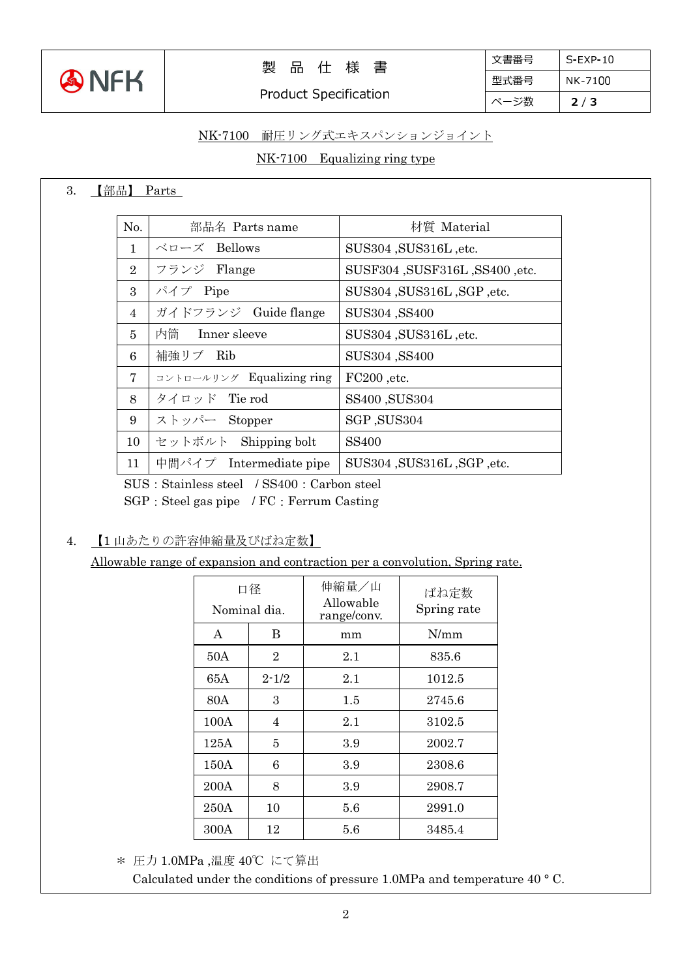

### 製 品 仕 様 書

Product Specification

| 文書番号 | $S$ -EXP-10 |
|------|-------------|
| 型式番号 | NK-7100     |
| ページ数 | 2/3         |

#### NK-7100 耐圧リング式エキスパンションジョイント

## NK-7100 Equalizing ring type

3. 【部品】 Parts

| No.            | 部品名 Parts name                                                           | 材質 Material                       |  |
|----------------|--------------------------------------------------------------------------|-----------------------------------|--|
| $\mathbf{1}$   | ベローズ Bellows                                                             | SUS304 , SUS316L, etc.            |  |
| $\overline{2}$ | フランジ Flange                                                              | SUSF304 , SUSF316L , SS400 , etc. |  |
| 3              | パイプ Pipe                                                                 | SUS304 , SUS316L , SGP , etc.     |  |
| 4              | ガイドフランジ Guide flange                                                     | SUS304, SS400                     |  |
| 5              | 内筒 Inner sleeve                                                          | SUS304 , SUS316L, etc.            |  |
| 6              | 補強リブ Rib                                                                 | SUS304, SS400                     |  |
| 7              | $\exists \nu \vdash \square \neg \nu \vdash \nu \forall$ Equalizing ring | FC200, etc.                       |  |
| 8              | タイロッド Tie rod                                                            | SS400, SUS304                     |  |
| 9              | ストッパー Stopper                                                            | SGP, SUS304                       |  |
| 10             | セットボルト Shipping bolt                                                     | SS400                             |  |
| 11             | 中間パイプ Intermediate pipe                                                  | SUS304 , SUS316L , SGP , etc.     |  |

SUS: Stainless steel / SS400: Carbon steel SGP:Steel gas pipe / FC:Ferrum Casting

4. 【1 山あたりの許容伸縮量及びばね定数】

Allowable range of expansion and contraction per a convolution, Spring rate.

| 口径<br>Nominal dia. |                | 伸縮量/山<br>Allowable<br>range/conv. | ばね定数<br>Spring rate |
|--------------------|----------------|-----------------------------------|---------------------|
| A                  | B              | mm                                | N/mm                |
| 50A                | $\overline{2}$ | 2.1                               | 835.6               |
| 65A                | $2 - 1/2$      | 2.1                               | 1012.5              |
| 80A                | 3              | $1.5\,$                           | 2745.6              |
| 100A               | 4              | 2.1                               | 3102.5              |
| 125A               | 5              | 3.9                               | 2002.7              |
| 150A               | 6              | 3.9                               | 2308.6              |
| 200A               | 8              | 3.9                               | 2908.7              |
| 250A               | 10             | $5.6\,$                           | 2991.0              |
| 300A               | 12             | 5.6                               | 3485.4              |

\* 圧力 1.0MPa ,温度 40℃ にて算出

Calculated under the conditions of pressure 1.0MPa and temperature 40 ° C.